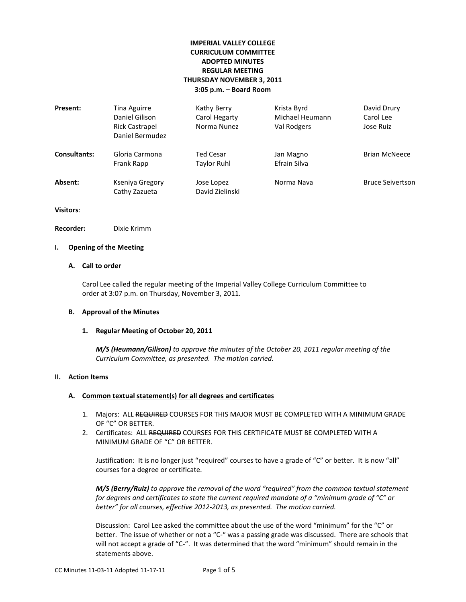# **IMPERIAL VALLEY COLLEGE CURRICULUM COMMITTEE ADOPTED MINUTES REGULAR MEETING THURSDAY NOVEMBER 3, 2011 3:05 p.m. – Board Room**

| Present:            | Tina Aguirre<br>Daniel Gilison<br><b>Rick Castrapel</b><br>Daniel Bermudez | Kathy Berry<br>Carol Hegarty<br>Norma Nunez | Krista Byrd<br>Michael Heumann<br>Val Rodgers | David Drury<br>Carol Lee<br>Jose Ruiz |
|---------------------|----------------------------------------------------------------------------|---------------------------------------------|-----------------------------------------------|---------------------------------------|
| <b>Consultants:</b> | Gloria Carmona<br>Frank Rapp                                               | Ted Cesar<br>Taylor Ruhl                    | Jan Magno<br>Efrain Silva                     | <b>Brian McNeece</b>                  |
| Absent:             | Kseniya Gregory<br>Cathy Zazueta                                           | Jose Lopez<br>David Zielinski               | Norma Nava                                    | <b>Bruce Seivertson</b>               |

**Visitors**:

**Recorder:** Dixie Krimm

## **I. Opening of the Meeting**

# **A. Call to order**

Carol Lee called the regular meeting of the Imperial Valley College Curriculum Committee to order at 3:07 p.m. on Thursday, November 3, 2011.

### **B. Approval of the Minutes**

### **1. Regular Meeting of October 20, 2011**

*M/S (Heumann/Gilison) to approve the minutes of the October 20, 2011 regular meeting of the Curriculum Committee, as presented. The motion carried.*

### **II. Action Items**

### **A. Common textual statement(s) for all degrees and certificates**

- 1. Majors: ALL REQUIRED COURSES FOR THIS MAJOR MUST BE COMPLETED WITH A MINIMUM GRADE OF "C" OR BETTER.
- 2. Certificates: ALL REQUIRED COURSES FOR THIS CERTIFICATE MUST BE COMPLETED WITH A MINIMUM GRADE OF "C" OR BETTER.

Justification: It is no longer just "required" courses to have a grade of "C" or better. It is now "all" courses for a degree or certificate.

*M/S (Berry/Ruiz) to approve the removal of the word "required" from the common textual statement for degrees and certificates to state the current required mandate of a "minimum grade of "C" or better" for all courses, effective 2012-2013, as presented. The motion carried.*

Discussion: Carol Lee asked the committee about the use of the word "minimum" for the "C" or better. The issue of whether or not a "C-" was a passing grade was discussed. There are schools that will not accept a grade of "C-". It was determined that the word "minimum" should remain in the statements above.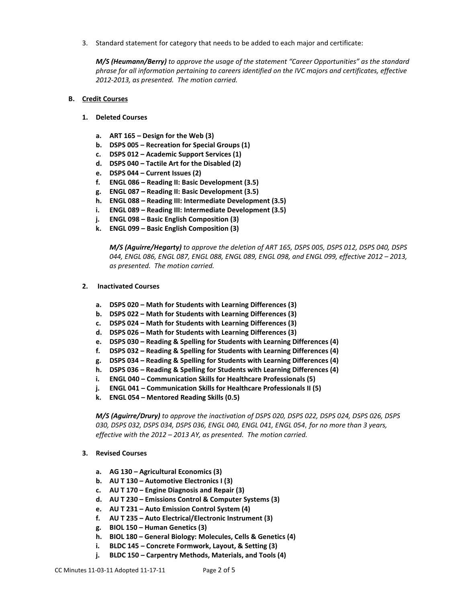3. Standard statement for category that needs to be added to each major and certificate:

*M/S (Heumann/Berry) to approve the usage of the statement "Career Opportunities" as the standard phrase for all information pertaining to careers identified on the IVC majors and certificates, effective 2012-2013, as presented. The motion carried.*

### **B. Credit Courses**

- **1. Deleted Courses**
	- **a. ART 165 – Design for the Web (3)**
	- **b. DSPS 005 – Recreation for Special Groups (1)**
	- **c. DSPS 012 – Academic Support Services (1)**
	- **d. DSPS 040 – Tactile Art for the Disabled (2)**
	- **e. DSPS 044 – Current Issues (2)**
	- **f. ENGL 086 – Reading II: Basic Development (3.5)**
	- **g. ENGL 087 – Reading II: Basic Development (3.5)**
	- **h. ENGL 088 – Reading III: Intermediate Development (3.5)**
	- **i. ENGL 089 – Reading III: Intermediate Development (3.5)**
	- **j. ENGL 098 – Basic English Composition (3)**
	- **k. ENGL 099 – Basic English Composition (3)**

*M/S (Aguirre/Hegarty) to approve the deletion of ART 165, DSPS 005, DSPS 012, DSPS 040, DSPS 044, ENGL 086, ENGL 087, ENGL 088, ENGL 089, ENGL 098, and ENGL 099, effective 2012 – 2013, as presented. The motion carried.*

### **2. Inactivated Courses**

- **a. DSPS 020 – Math for Students with Learning Differences (3)**
- **b. DSPS 022 – Math for Students with Learning Differences (3)**
- **c. DSPS 024 – Math for Students with Learning Differences (3)**
- **d. DSPS 026 – Math for Students with Learning Differences (3)**
- **e. DSPS 030 – Reading & Spelling for Students with Learning Differences (4)**
- **f. DSPS 032 – Reading & Spelling for Students with Learning Differences (4)**
- **g. DSPS 034 – Reading & Spelling for Students with Learning Differences (4)**
- **h. DSPS 036 – Reading & Spelling for Students with Learning Differences (4)**
- **i. ENGL 040 – Communication Skills for Healthcare Professionals (5)**
- **j. ENGL 041 – Communication Skills for Healthcare Professionals II (5)**
- **k. ENGL 054 – Mentored Reading Skills (0.5)**

*M/S (Aguirre/Drury) to approve the inactivation of DSPS 020, DSPS 022, DSPS 024, DSPS 026, DSPS 030, DSPS 032, DSPS 034, DSPS 036, ENGL 040, ENGL 041, ENGL 054, for no more than 3 years, effective with the 2012 – 2013 AY, as presented. The motion carried.*

### **3. Revised Courses**

- **a. AG 130 – Agricultural Economics (3)**
- **b. AU T 130 – Automotive Electronics I (3)**
- **c. AU T 170 – Engine Diagnosis and Repair (3)**
- **d. AU T 230 – Emissions Control & Computer Systems (3)**
- **e. AU T 231 – Auto Emission Control System (4)**
- **f. AU T 235 – Auto Electrical/Electronic Instrument (3)**
- **g. BIOL 150 – Human Genetics (3)**
- **h. BIOL 180 – General Biology: Molecules, Cells & Genetics (4)**
- **i. BLDC 145 – Concrete Formwork, Layout, & Setting (3)**
- **j. BLDC 150 – Carpentry Methods, Materials, and Tools (4)**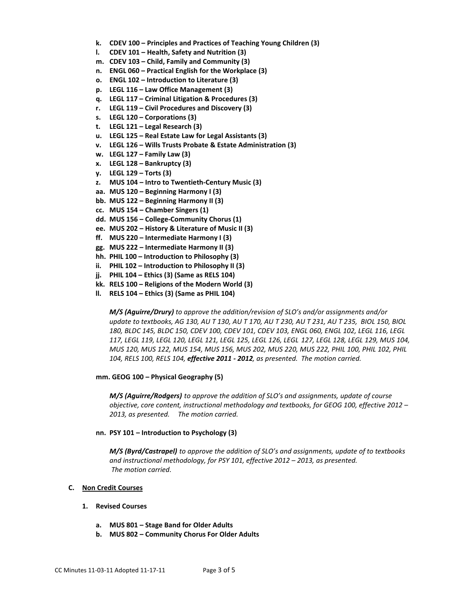- **k. CDEV 100 – Principles and Practices of Teaching Young Children (3)**
- **l. CDEV 101 – Health, Safety and Nutrition (3)**
- **m. CDEV 103 – Child, Family and Community (3)**
- **n. ENGL 060 – Practical English for the Workplace (3)**
- **o. ENGL 102 – Introduction to Literature (3)**
- **p. LEGL 116 – Law Office Management (3)**
- **q. LEGL 117 – Criminal Litigation & Procedures (3)**
- **r. LEGL 119 – Civil Procedures and Discovery (3)**
- **s. LEGL 120 – Corporations (3)**
- **t. LEGL 121 – Legal Research (3)**
- **u. LEGL 125 – Real Estate Law for Legal Assistants (3)**
- **v. LEGL 126 – Wills Trusts Probate & Estate Administration (3)**
- **w. LEGL 127 – Family Law (3)**
- **x. LEGL 128 – Bankruptcy (3)**
- **y. LEGL 129 – Torts (3)**
- **z. MUS 104 – Intro to Twentieth-Century Music (3)**
- **aa. MUS 120 – Beginning Harmony I (3)**
- **bb. MUS 122 – Beginning Harmony II (3)**
- **cc. MUS 154 – Chamber Singers (1)**
- **dd. MUS 156 – College-Community Chorus (1)**
- **ee. MUS 202 – History & Literature of Music II (3)**
- **ff. MUS 220 – Intermediate Harmony I (3)**
- **gg. MUS 222 – Intermediate Harmony II (3)**
- **hh. PHIL 100 – Introduction to Philosophy (3)**
- **ii. PHIL 102 – Introduction to Philosophy II (3)**
- **jj. PHIL 104 – Ethics (3) (Same as RELS 104)**
- **kk. RELS 100 – Religions of the Modern World (3)**
- **ll. RELS 104 – Ethics (3) (Same as PHIL 104)**

*M/S (Aguirre/Drury) to approve the addition/revision of SLO's and/or assignments and/or update to textbooks, AG 130, AU T 130, AU T 170, AU T 230, AU T 231, AU T 235, BIOL 150, BIOL 180, BLDC 145, BLDC 150, CDEV 100, CDEV 101, CDEV 103, ENGL 060, ENGL 102, LEGL 116, LEGL 117, LEGL 119, LEGL 120, LEGL 121, LEGL 125, LEGL 126, LEGL 127, LEGL 128, LEGL 129, MUS 104, MUS 120, MUS 122, MUS 154, MUS 156, MUS 202, MUS 220, MUS 222, PHIL 100, PHIL 102, PHIL 104, RELS 100, RELS 104, effective 2011 - 2012, as presented. The motion carried.*

### **mm. GEOG 100 – Physical Geography (5)**

*M/S (Aguirre/Rodgers) to approve the addition of SLO's and assignments, update of course objective, core content, instructional methodology and textbooks, for GEOG 100, effective 2012 – 2013, as presented. The motion carried.*

#### **nn. PSY 101 – Introduction to Psychology (3)**

*M/S (Byrd/Castrapel) to approve the addition of SLO's and assignments, update of to textbooks and instructional methodology, for PSY 101, effective 2012 – 2013, as presented. The motion carried.*

### **C. Non Credit Courses**

#### **1. Revised Courses**

- **a. MUS 801 – Stage Band for Older Adults**
- **b. MUS 802 – Community Chorus For Older Adults**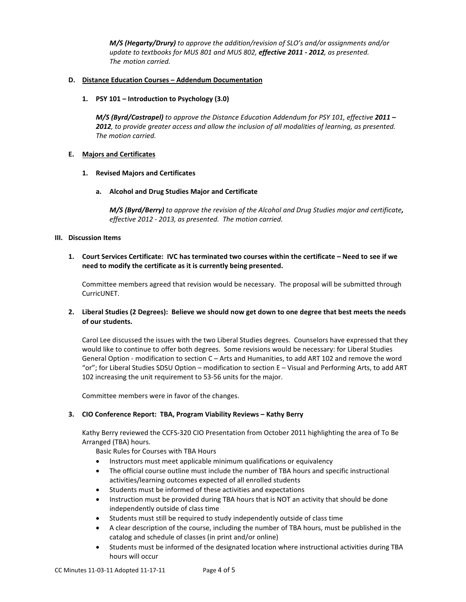*M/S (Hegarty/Drury) to approve the addition/revision of SLO's and/or assignments and/or update to textbooks for MUS 801 and MUS 802, effective 2011 - 2012, as presented. The motion carried.*

# **D. Distance Education Courses – Addendum Documentation**

## **1. PSY 101 – Introduction to Psychology (3.0)**

*M/S (Byrd/Castrapel) to approve the Distance Education Addendum for PSY 101, effective 2011 – 2012, to provide greater access and allow the inclusion of all modalities of learning, as presented. The motion carried.*

# **E. Majors and Certificates**

## **1. Revised Majors and Certificates**

## **a. Alcohol and Drug Studies Major and Certificate**

*M/S (Byrd/Berry) to approve the revision of the Alcohol and Drug Studies major and certificate, effective 2012 - 2013, as presented. The motion carried.*

## **III. Discussion Items**

**1. Court Services Certificate: IVC has terminated two courses within the certificate – Need to see if we need to modify the certificate as it is currently being presented.**

Committee members agreed that revision would be necessary. The proposal will be submitted through CurricUNET.

# **2. Liberal Studies (2 Degrees): Believe we should now get down to one degree that best meets the needs of our students.**

Carol Lee discussed the issues with the two Liberal Studies degrees. Counselors have expressed that they would like to continue to offer both degrees. Some revisions would be necessary: for Liberal Studies General Option - modification to section C - Arts and Humanities, to add ART 102 and remove the word "or"; for Liberal Studies SDSU Option – modification to section E – Visual and Performing Arts, to add ART 102 increasing the unit requirement to 53-56 units for the major.

Committee members were in favor of the changes.

# **3. CIO Conference Report: TBA, Program Viability Reviews – Kathy Berry**

Kathy Berry reviewed the CCFS-320 CIO Presentation from October 2011 highlighting the area of To Be Arranged (TBA) hours.

Basic Rules for Courses with TBA Hours

- Instructors must meet applicable minimum qualifications or equivalency
- The official course outline must include the number of TBA hours and specific instructional activities/learning outcomes expected of all enrolled students
- Students must be informed of these activities and expectations
- Instruction must be provided during TBA hours that is NOT an activity that should be done independently outside of class time
- Students must still be required to study independently outside of class time
- A clear description of the course, including the number of TBA hours, must be published in the catalog and schedule of classes (in print and/or online)
- Students must be informed of the designated location where instructional activities during TBA hours will occur